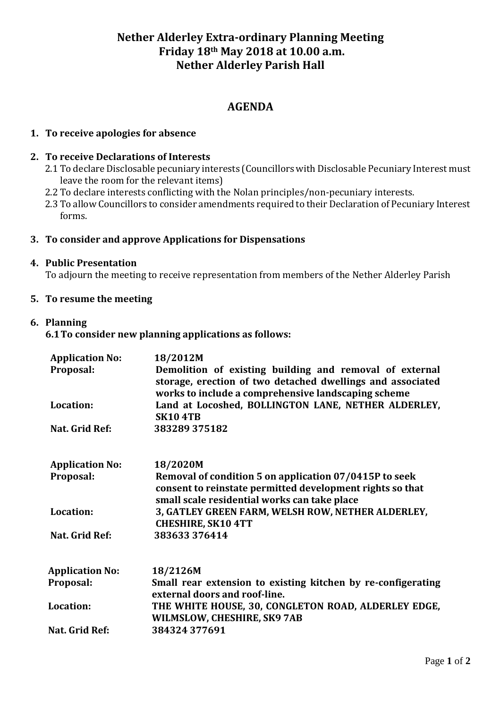# **Nether Alderley Extra-ordinary Planning Meeting Friday 18th May 2018 at 10.00 a.m. Nether Alderley Parish Hall**

## **AGENDA**

## **1. To receive apologies for absence**

#### **2. To receive Declarations of Interests**

- 2.1 To declare Disclosable pecuniary interests (Councillors with Disclosable Pecuniary Interest must leave the room for the relevant items)
- 2.2 To declare interests conflicting with the Nolan principles/non-pecuniary interests.
- 2.3 To allow Councillors to consider amendments required to their Declaration of Pecuniary Interest forms.

#### **3. To consider and approve Applications for Dispensations**

#### **4. Public Presentation**

To adjourn the meeting to receive representation from members of the Nether Alderley Parish

## **5. To resume the meeting**

### **6. Planning**

**6.1To consider new planning applications as follows:**

| <b>Application No:</b><br>Proposal:<br>Location:<br>Nat. Grid Ref: | 18/2012M<br>Demolition of existing building and removal of external<br>storage, erection of two detached dwellings and associated<br>works to include a comprehensive landscaping scheme<br>Land at Locoshed, BOLLINGTON LANE, NETHER ALDERLEY,<br><b>SK10 4TB</b><br>383289 375182 |                        |                                                                                                                                                                     |
|--------------------------------------------------------------------|-------------------------------------------------------------------------------------------------------------------------------------------------------------------------------------------------------------------------------------------------------------------------------------|------------------------|---------------------------------------------------------------------------------------------------------------------------------------------------------------------|
|                                                                    |                                                                                                                                                                                                                                                                                     | <b>Application No:</b> | 18/2020M                                                                                                                                                            |
|                                                                    |                                                                                                                                                                                                                                                                                     | Proposal:              | Removal of condition 5 on application 07/0415P to seek<br>consent to reinstate permitted development rights so that<br>small scale residential works can take place |
|                                                                    |                                                                                                                                                                                                                                                                                     | Location:              | 3, GATLEY GREEN FARM, WELSH ROW, NETHER ALDERLEY,<br><b>CHESHIRE, SK10 4TT</b>                                                                                      |
| Nat. Grid Ref:                                                     | 383633376414                                                                                                                                                                                                                                                                        |                        |                                                                                                                                                                     |
| <b>Application No:</b>                                             | 18/2126M                                                                                                                                                                                                                                                                            |                        |                                                                                                                                                                     |
| Proposal:                                                          | Small rear extension to existing kitchen by re-configerating<br>external doors and roof-line.                                                                                                                                                                                       |                        |                                                                                                                                                                     |
| Location:                                                          | THE WHITE HOUSE, 30, CONGLETON ROAD, ALDERLEY EDGE,<br>WILMSLOW, CHESHIRE, SK9 7AB                                                                                                                                                                                                  |                        |                                                                                                                                                                     |
| Nat. Grid Ref:                                                     | 384324 377691                                                                                                                                                                                                                                                                       |                        |                                                                                                                                                                     |